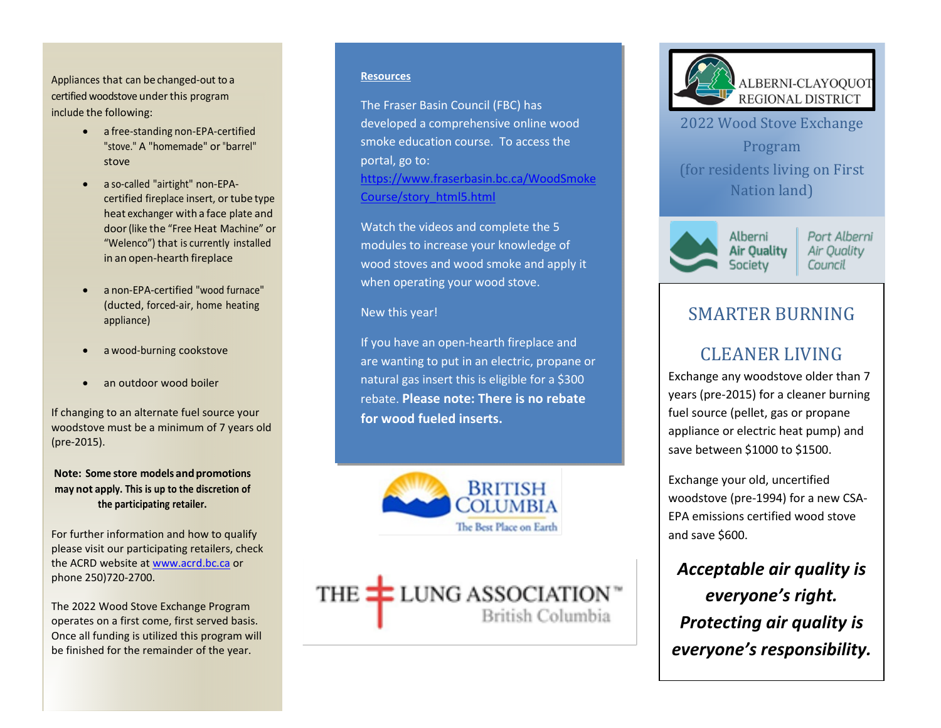Appliances that can be changed-out to a certified woodstove under this program include the following:

- a free-standing non-EPA-certified "stove." A "homemade" or "barrel" stove
- a so-called "airtight" non-EPAcertified fireplace insert, or tube type heat exchanger with a face plate and door(like the "Free Heat Machine" or "Welenco") that is currently installed in an open-hearth fireplace
- a non-EPA-certified "wood furnace" (ducted, forced-air, home heating appliance)
- a wood-burning cookstove
- an outdoor wood boiler

If changing to an alternate fuel source your woodstove must be a minimum of 7 years old (pre-2015).

**Note: Some store models and promotions may not apply. This is up to the discretion of the participating retailer.**

For further information and how to qualify please visit our participating retailers, check the ACRD website a[t www.acrd.bc.ca](http://www.acrd.bc.ca/) or phone 250)720-2700.

The 2022 Wood Stove Exchange Program operates on a first come, first served basis. Once all funding is utilized this program will be finished for the remainder of the year.

#### **Resources**

The Fraser Basin Council (FBC) has developed a comprehensive online wood smoke education course. To access the portal, go to: [https://www.fraserbasin.bc.ca/WoodSmoke](https://www.fraserbasin.bc.ca/WoodSmokeCourse/story_html5.html) [Course/story\\_html5.html](https://www.fraserbasin.bc.ca/WoodSmokeCourse/story_html5.html)

Watch the videos and complete the 5 modules to increase your knowledge of wood stoves and wood smoke and apply it when operating your wood stove.

### New this year!

If you have an open-hearth fireplace and are wanting to put in an electric, propane or natural gas insert this is eligible for a \$300 rebate. **Please note: There is no rebate for wood fueled inserts.**



THE **LUNG ASSOCIATION** British Columbia



2022 Wood Stove Exchange Program (for residents living on First Nation land)



Port Alberni Air Quality Council

## SMARTER BURNING

# CLEANER LIVING

Exchange any woodstove older than 7 years (pre-2015) for a cleaner burning fuel source (pellet, gas or propane appliance or electric heat pump) and save between \$1000 to \$1500.

Exchange your old, uncertified woodstove (pre-1994) for a new CSA-EPA emissions certified wood stove and save \$600.

*Acceptable air quality is everyone's right. Protecting air quality is everyone's responsibility.*